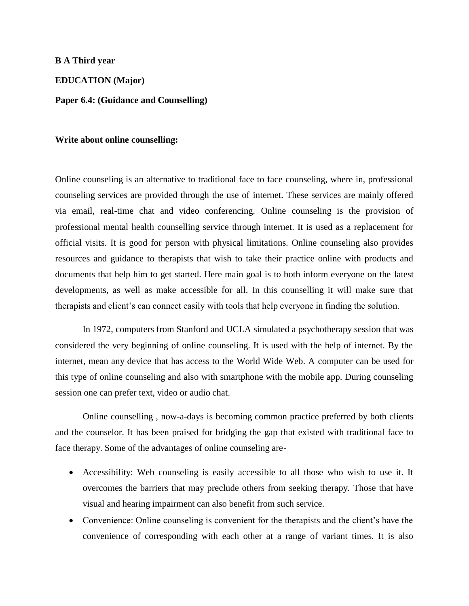## **B A Third year**

**EDUCATION (Major)**

**Paper 6.4: (Guidance and Counselling)**

## **Write about online counselling:**

Online counseling is an alternative to traditional face to face counseling, where in, professional counseling services are provided through the use of internet. These services are mainly offered via email, real-time chat and video conferencing. Online counseling is the provision of professional mental health counselling service through internet. It is used as a replacement for official visits. It is good for person with physical limitations. Online counseling also provides resources and guidance to therapists that wish to take their practice online with products and documents that help him to get started. Here main goal is to both inform everyone on the latest developments, as well as make accessible for all. In this counselling it will make sure that therapists and client's can connect easily with tools that help everyone in finding the solution.

In 1972, computers from Stanford and UCLA simulated a psychotherapy session that was considered the very beginning of online counseling. It is used with the help of internet. By the internet, mean any device that has access to the World Wide Web. A computer can be used for this type of online counseling and also with smartphone with the mobile app. During counseling session one can prefer text, video or audio chat.

Online counselling , now-a-days is becoming common practice preferred by both clients and the counselor. It has been praised for bridging the gap that existed with traditional face to face therapy. Some of the advantages of online counseling are-

- Accessibility: Web counseling is easily accessible to all those who wish to use it. It overcomes the barriers that may preclude others from seeking therapy. Those that have visual and hearing impairment can also benefit from such service.
- Convenience: Online counseling is convenient for the therapists and the client's have the convenience of corresponding with each other at a range of variant times. It is also